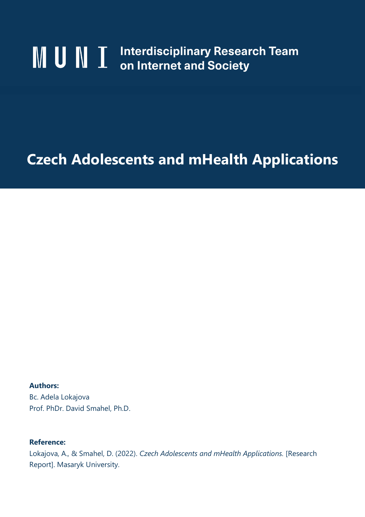# **MUINT** Interdisciplinary Research Team on Internet and Society

# **Czech Adolescents and mHealth Applications**

**Authors:** Bc. Adela Lokajova Prof. PhDr. David Smahel, Ph.D.

## **Reference:**

Lokajova, A., & Smahel, D. (2022). *Czech Adolescents and mHealth Applications.* [Research Report]. Masaryk University.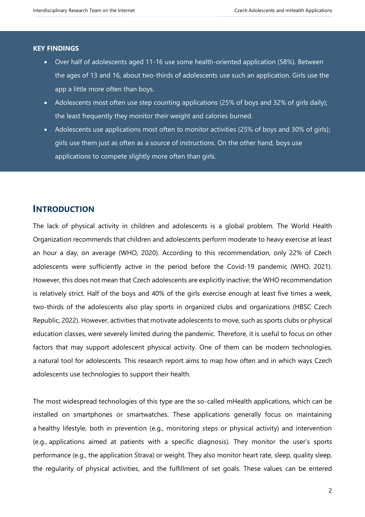#### **KEY FINDINGS**

- Over half of adolescents aged 11-16 use some health-oriented application (58%). Between the ages of 13 and 16, about two-thirds of adolescents use such an application. Girls use the app a little more often than boys.
- Adolescents most often use step counting applications (25% of boys and 32% of girls daily); the least frequently they monitor their weight and calories burned.
- Adolescents use applications most often to monitor activities (25% of boys and 30% of girls); girls use them just as often as a source of instructions. On the other hand, boys use applications to compete slightly more often than girls.

### **INTRODUCTION**

The lack of physical activity in children and adolescents is a global problem. The World Health Organization recommends that children and adolescents perform moderate to heavy exercise at least an hour a day, on average (WHO, 2020). According to this recommendation, only 22% of Czech adolescents were sufficiently active in the period before the Covid-19 pandemic (WHO, 2021). However, this does not mean that Czech adolescents are explicitly inactive; the WHO recommendation is relatively strict. Half of the boys and 40% of the girls exercise enough at least five times a week, two-thirds of the adolescents also play sports in organized clubs and organizations (HBSC Czech Republic, 2022). However, activities that motivate adolescents to move, such as sports clubs or physical education classes, were severely limited during the pandemic. Therefore, it is useful to focus on other factors that may support adolescent physical activity. One of them can be modern technologies, a natural tool for adolescents. This research report aims to map how often and in which ways Czech adolescents use technologies to support their health.

The most widespread technologies of this type are the so-called mHealth applications, which can be installed on smartphones or smartwatches. These applications generally focus on maintaining a healthy lifestyle, both in prevention (e.g., monitoring steps or physical activity) and intervention (e.g., applications aimed at patients with a specific diagnosis). They monitor the user's sports performance (e.g., the application Strava) or weight. They also monitor heart rate, sleep, quality sleep, the regularity of physical activities, and the fulfillment of set goals. These values can be entered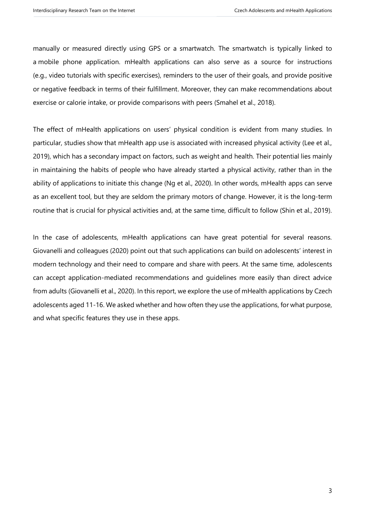manually or measured directly using GPS or a smartwatch. The smartwatch is typically linked to a mobile phone application. mHealth applications can also serve as a source for instructions (e.g., video tutorials with specific exercises), reminders to the user of their goals, and provide positive or negative feedback in terms of their fulfillment. Moreover, they can make recommendations about exercise or calorie intake, or provide comparisons with peers (Smahel et al., 2018).

The effect of mHealth applications on users' physical condition is evident from many studies. In particular, studies show that mHealth app use is associated with increased physical activity (Lee et al., 2019), which has a secondary impact on factors, such as weight and health. Their potential lies mainly in maintaining the habits of people who have already started a physical activity, rather than in the ability of applications to initiate this change (Ng et al., 2020). In other words, mHealth apps can serve as an excellent tool, but they are seldom the primary motors of change. However, it is the long-term routine that is crucial for physical activities and, at the same time, difficult to follow (Shin et al., 2019).

In the case of adolescents, mHealth applications can have great potential for several reasons. Giovanelli and colleagues (2020) point out that such applications can build on adolescents' interest in modern technology and their need to compare and share with peers. At the same time, adolescents can accept application-mediated recommendations and guidelines more easily than direct advice from adults (Giovanelli et al., 2020). In this report, we explore the use of mHealth applications by Czech adolescents aged 11-16. We asked whether and how often they use the applications, for what purpose, and what specific features they use in these apps.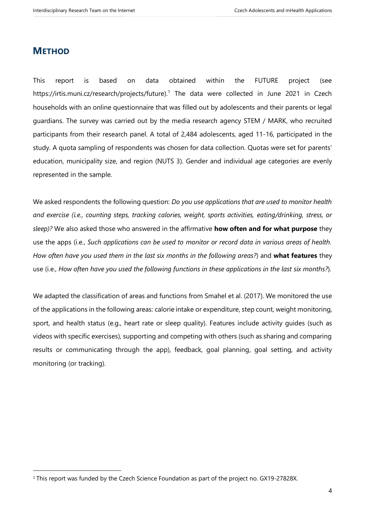# **METHOD**

This report is based on data obtained within the FUTURE project (see https://irtis.muni.cz/research/projects/future).<sup>1</sup> The data were collected in June 2021 in Czech households with an online questionnaire that was filled out by adolescents and their parents or legal guardians. The survey was carried out by the media research agency STEM / MARK, who recruited participants from their research panel. A total of 2,484 adolescents, aged 11-16, participated in the study. A quota sampling of respondents was chosen for data collection. Quotas were set for parents' education, municipality size, and region (NUTS 3). Gender and individual age categories are evenly represented in the sample.

We asked respondents the following question: *Do you use applications that are used to monitor health and exercise (i.e., counting steps, tracking calories, weight, sports activities, eating/drinking, stress, or sleep)?* We also asked those who answered in the affirmative **how often and for what purpose** they use the apps (i.e., *Such applications can be used to monitor or record data in various areas of health. How often have you used them in the last six months in the following areas?*) and **what features** they use (i.e., *How often have you used the following functions in these applications in the last six months?*)*.*

We adapted the classification of areas and functions from Smahel et al. (2017). We monitored the use of the applications in the following areas: calorie intake or expenditure, step count, weight monitoring, sport, and health status (e.g., heart rate or sleep quality). Features include activity guides (such as videos with specific exercises), supporting and competing with others (such as sharing and comparing results or communicating through the app), feedback, goal planning, goal setting, and activity monitoring (or tracking).

<sup>1</sup> This report was funded by the Czech Science Foundation as part of the project no. GX19-27828X.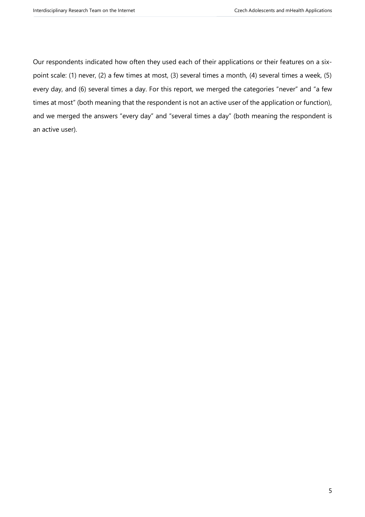Our respondents indicated how often they used each of their applications or their features on a sixpoint scale: (1) never, (2) a few times at most, (3) several times a month, (4) several times a week, (5) every day, and (6) several times a day. For this report, we merged the categories "never" and "a few times at most" (both meaning that the respondent is not an active user of the application or function), and we merged the answers "every day" and "several times a day" (both meaning the respondent is an active user).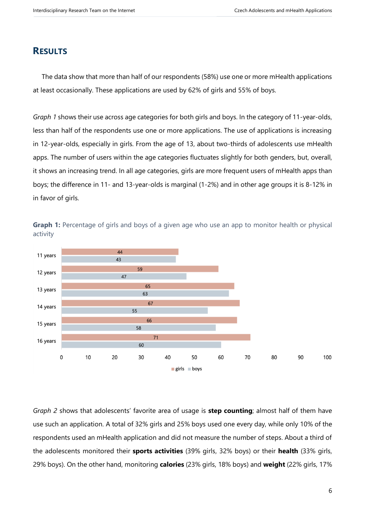# **RESULTS**

The data show that more than half of our respondents (58%) use one or more mHealth applications at least occasionally. These applications are used by 62% of girls and 55% of boys.

*Graph 1* shows their use across age categories for both girls and boys. In the category of 11-year-olds, less than half of the respondents use one or more applications. The use of applications is increasing in 12-year-olds, especially in girls. From the age of 13, about two-thirds of adolescents use mHealth apps. The number of users within the age categories fluctuates slightly for both genders, but, overall, it shows an increasing trend. In all age categories, girls are more frequent users of mHealth apps than boys; the difference in 11- and 13-year-olds is marginal (1-2%) and in other age groups it is 8-12% in in favor of girls.



**Graph 1:** Percentage of girls and boys of a given age who use an app to monitor health or physical activity

*Graph 2* shows that adolescents' favorite area of usage is **step counting**; almost half of them have use such an application. A total of 32% girls and 25% boys used one every day, while only 10% of the respondents used an mHealth application and did not measure the number of steps. About a third of the adolescents monitored their **sports activities** (39% girls, 32% boys) or their **health** (33% girls, 29% boys). On the other hand, monitoring **calories** (23% girls, 18% boys) and **weight** (22% girls, 17%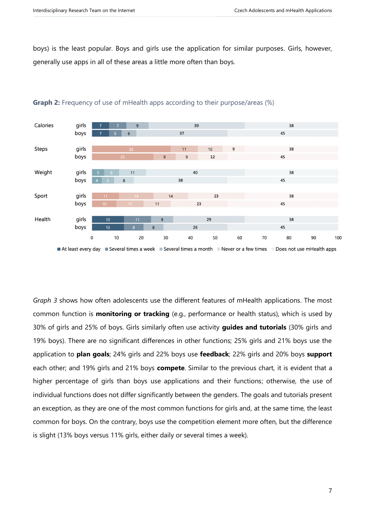boys) is the least popular. Boys and girls use the application for similar purposes. Girls, however, generally use apps in all of these areas a little more often than boys.



#### **Graph 2:** Frequency of use of mHealth apps according to their purpose/areas (%)

*Graph 3* shows how often adolescents use the different features of mHealth applications. The most common function is **monitoring or tracking** (e.g., performance or health status), which is used by 30% of girls and 25% of boys. Girls similarly often use activity **guides and tutorials** (30% girls and 19% boys). There are no significant differences in other functions; 25% girls and 21% boys use the application to **plan goals**; 24% girls and 22% boys use **feedback**; 22% girls and 20% boys **support** each other; and 19% girls and 21% boys **compete**. Similar to the previous chart, it is evident that a higher percentage of girls than boys use applications and their functions; otherwise, the use of individual functions does not differ significantly between the genders. The goals and tutorials present an exception, as they are one of the most common functions for girls and, at the same time, the least common for boys. On the contrary, boys use the competition element more often, but the difference is slight (13% boys versus 11% girls, either daily or several times a week).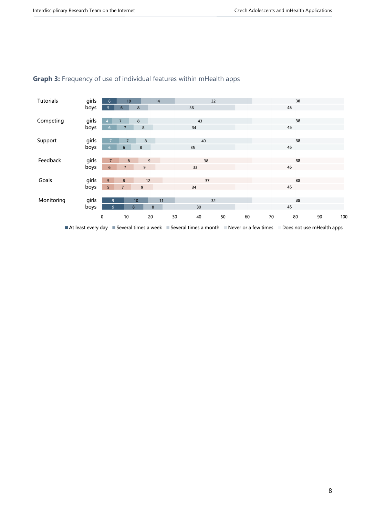

## **Graph 3:** Frequency of use of individual features within mHealth apps

At least every day Several times a week Several times a month Never or a few times Does not use mHealth apps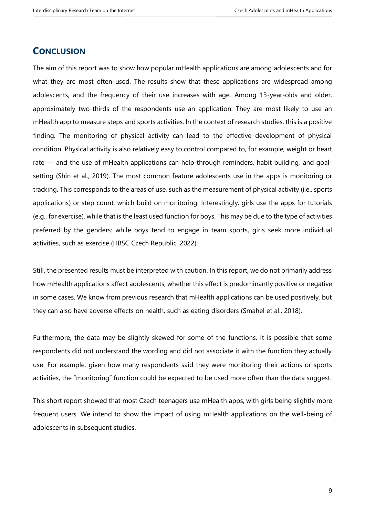# **CONCLUSION**

The aim of this report was to show how popular mHealth applications are among adolescents and for what they are most often used. The results show that these applications are widespread among adolescents, and the frequency of their use increases with age. Among 13-year-olds and older, approximately two-thirds of the respondents use an application. They are most likely to use an mHealth app to measure steps and sports activities. In the context of research studies, this is a positive finding. The monitoring of physical activity can lead to the effective development of physical condition. Physical activity is also relatively easy to control compared to, for example, weight or heart rate — and the use of mHealth applications can help through reminders, habit building, and goalsetting (Shin et al., 2019). The most common feature adolescents use in the apps is monitoring or tracking. This corresponds to the areas of use, such as the measurement of physical activity (i.e., sports applications) or step count, which build on monitoring. Interestingly, girls use the apps for tutorials (e.g., for exercise), while that is the least used function for boys. This may be due to the type of activities preferred by the genders: while boys tend to engage in team sports, girls seek more individual activities, such as exercise (HBSC Czech Republic, 2022).

Still, the presented results must be interpreted with caution. In this report, we do not primarily address how mHealth applications affect adolescents, whether this effect is predominantly positive or negative in some cases. We know from previous research that mHealth applications can be used positively, but they can also have adverse effects on health, such as eating disorders (Smahel et al., 2018).

Furthermore, the data may be slightly skewed for some of the functions. It is possible that some respondents did not understand the wording and did not associate it with the function they actually use. For example, given how many respondents said they were monitoring their actions or sports activities, the "monitoring" function could be expected to be used more often than the data suggest.

This short report showed that most Czech teenagers use mHealth apps, with girls being slightly more frequent users. We intend to show the impact of using mHealth applications on the well-being of adolescents in subsequent studies.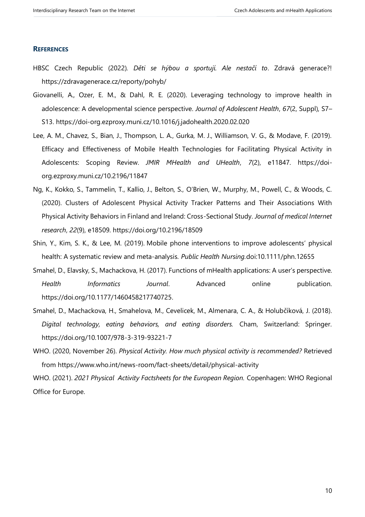#### **REFERENCES**

- HBSC Czech Republic (2022)*. Děti se hýbou a sportují. Ale nestačí to*. Zdravá generace?! https://zdravagenerace.cz/reporty/pohyb/
- Giovanelli, A., Ozer, E. M., & Dahl, R. E. (2020). Leveraging technology to improve health in adolescence: A developmental science perspective. *Journal of Adolescent Health*, *67*(2, Suppl), S7– S13. https://doi-org.ezproxy.muni.cz/10.1016/j.jadohealth.2020.02.020
- Lee, A. M., Chavez, S., Bian, J., Thompson, L. A., Gurka, M. J., Williamson, V. G., & Modave, F. (2019). Efficacy and Effectiveness of Mobile Health Technologies for Facilitating Physical Activity in Adolescents: Scoping Review. *JMIR MHealth and UHealth*, *7*(2), e11847. https://doiorg.ezproxy.muni.cz/10.2196/11847
- Ng, K., Kokko, S., Tammelin, T., Kallio, J., Belton, S., O'Brien, W., Murphy, M., Powell, C., & Woods, C. (2020). Clusters of Adolescent Physical Activity Tracker Patterns and Their Associations With Physical Activity Behaviors in Finland and Ireland: Cross-Sectional Study. *Journal of medical Internet research*, *22*(9), e18509. https://doi.org/10.2196/18509
- Shin, Y., Kim, S. K., & Lee, M. (2019). Mobile phone interventions to improve adolescents' physical health: A systematic review and meta‐analysis*. Public Health Nursing.*doi:10.1111/phn.12655
- Smahel, D., Elavsky, S., Machackova, H. (2017). Functions of mHealth applications: A user's perspective. *Health Informatics Journal*. Advanced online publication. https://doi.org/10.1177/1460458217740725.
- Smahel, D., Machackova, H., Smahelova, M., Cevelicek, M., Almenara, C. A., & Holubčíková, J. (2018). *Digital technology, eating behaviors, and eating disorders.* Cham, Switzerland: Springer. https://doi.org/10.1007/978-3-319-93221-7
- WHO. (2020, November 26). *Physical Activity. How much physical activity is recommended?* Retrieved from https://www.who.int/news-room/fact-sheets/detail/physical-activity

WHO. (2021). *2021 Physical Activity Factsheets for the European Region.* Copenhagen: WHO Regional Office for Europe.